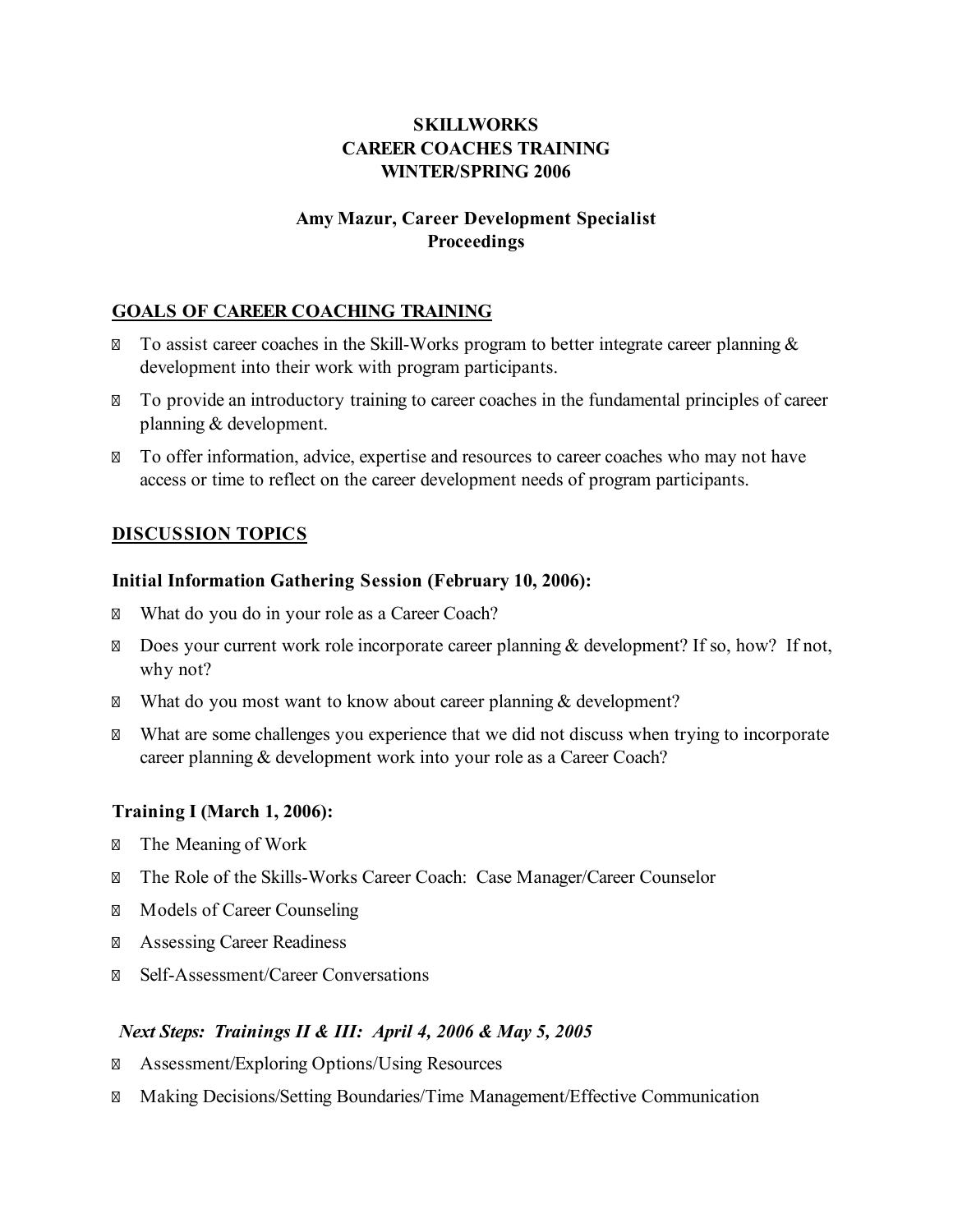# **SKILLWORKS CAREER COACHES TRAINING WINTER/SPRING 2006**

## **Amy Mazur, Career Development Specialist Proceedings**

## **GOALS OF CAREER COACHING TRAINING**

To assist career coaches in the Skill-Works program to better integrate career planning  $\&$ development into their work with program participants.

To provide an introductory training to career coaches in the fundamental principles of career planning & development.

To offer information, advice, expertise and resources to career coaches who may not have access or time to reflect on the career development needs of program participants.

## **DISCUSSION TOPICS**

#### **Initial Information Gathering Session (February 10, 2006):**

What do you do in your role as a Career Coach?

Does your current work role incorporate career planning & development? If so, how? If not, why not?

What do you most want to know about career planning & development?

What are some challenges you experience that we did not discuss when trying to incorporate career planning & development work into your role as a Career Coach?

## **Training I (March 1, 2006):**

The Meaning of Work

The Role of the Skills-Works Career Coach: Case Manager/Career Counselor

Models of Career Counseling

Assessing Career Readiness

Self-Assessment/Career Conversations

## *Next Steps: Trainings II & III: April 4, 2006 & May 5, 2005*

Assessment/Exploring Options/Using Resources

Making Decisions/Setting Boundaries/Time Management/Effective Communication